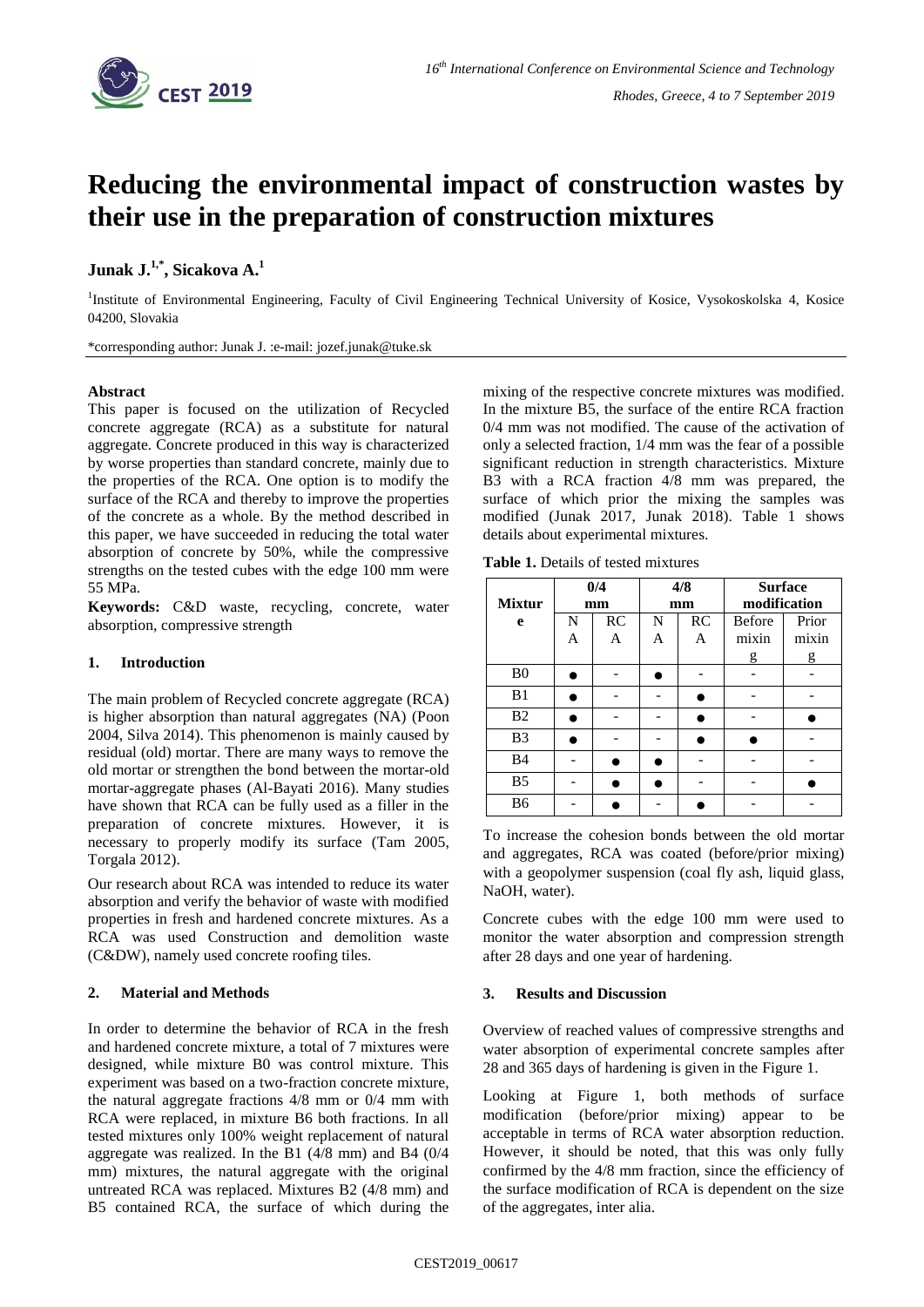

# **Reducing the environmental impact of construction wastes by their use in the preparation of construction mixtures**

## **Junak J. 1,\* , Sicakova A. 1**

<sup>1</sup>Institute of Environmental Engineering, Faculty of Civil Engineering Technical University of Kosice, Vysokoskolska 4, Kosice 04200, Slovakia

\*corresponding author: Junak J. :e-mail: jozef.junak@tuke.sk

## **Abstract**

This paper is focused on the utilization of Recycled concrete aggregate (RCA) as a substitute for natural aggregate. Concrete produced in this way is characterized by worse properties than standard concrete, mainly due to the properties of the RCA. One option is to modify the surface of the RCA and thereby to improve the properties of the concrete as a whole. By the method described in this paper, we have succeeded in reducing the total water absorption of concrete by 50%, while the compressive strengths on the tested cubes with the edge 100 mm were 55 MPa.

**Keywords:** C&D waste, recycling, concrete, water absorption, compressive strength

## **1. Introduction**

The main problem of Recycled concrete aggregate (RCA) is higher absorption than natural aggregates (NA) (Poon 2004, Silva 2014). This phenomenon is mainly caused by residual (old) mortar. There are many ways to remove the old mortar or strengthen the bond between the mortar-old mortar-aggregate phases (Al-Bayati 2016). Many studies have shown that RCA can be fully used as a filler in the preparation of concrete mixtures. However, it is necessary to properly modify its surface (Tam 2005, Torgala 2012).

Our research about RCA was intended to reduce its water absorption and verify the behavior of waste with modified properties in fresh and hardened concrete mixtures. As a RCA was used Construction and demolition waste (C&DW), namely used concrete roofing tiles.

## **2. Material and Methods**

In order to determine the behavior of RCA in the fresh and hardened concrete mixture, a total of 7 mixtures were designed, while mixture B0 was control mixture. This experiment was based on a two-fraction concrete mixture, the natural aggregate fractions 4/8 mm or 0/4 mm with RCA were replaced, in mixture B6 both fractions. In all tested mixtures only 100% weight replacement of natural aggregate was realized. In the B1 (4/8 mm) and B4 (0/4 mm) mixtures, the natural aggregate with the original untreated RCA was replaced. Mixtures B2 (4/8 mm) and B5 contained RCA, the surface of which during the

mixing of the respective concrete mixtures was modified. In the mixture B5, the surface of the entire RCA fraction 0/4 mm was not modified. The cause of the activation of only a selected fraction, 1/4 mm was the fear of a possible significant reduction in strength characteristics. Mixture B3 with a RCA fraction 4/8 mm was prepared, the surface of which prior the mixing the samples was modified (Junak 2017, Junak 2018). Table 1 shows details about experimental mixtures.

**Table 1.** Details of tested mixtures

| <b>Mixtur</b>  | 0/4<br>mm |           | 4/8<br>mm |           | <b>Surface</b><br>modification |       |
|----------------|-----------|-----------|-----------|-----------|--------------------------------|-------|
| e              | N         | <b>RC</b> | N         | <b>RC</b> | <b>Before</b>                  | Prior |
|                | А         | А         | А         | А         | mixin                          | mixin |
|                |           |           |           |           | g                              | g     |
| B <sub>0</sub> |           |           |           |           |                                |       |
| B1             |           |           |           |           |                                |       |
| B <sub>2</sub> |           |           |           |           |                                |       |
| B <sub>3</sub> |           |           |           |           |                                |       |
| <b>B</b> 4     |           |           |           |           |                                |       |
| B <sub>5</sub> |           |           |           |           |                                |       |
| B6             |           |           |           |           |                                |       |

To increase the cohesion bonds between the old mortar and aggregates, RCA was coated (before/prior mixing) with a geopolymer suspension (coal fly ash, liquid glass, NaOH, water).

Concrete cubes with the edge 100 mm were used to monitor the water absorption and compression strength after 28 days and one year of hardening.

## **3. Results and Discussion**

Overview of reached values of compressive strengths and water absorption of experimental concrete samples after 28 and 365 days of hardening is given in the Figure 1.

Looking at Figure 1, both methods of surface modification (before/prior mixing) appear to be acceptable in terms of RCA water absorption reduction. However, it should be noted, that this was only fully confirmed by the 4/8 mm fraction, since the efficiency of the surface modification of RCA is dependent on the size of the aggregates, inter alia.